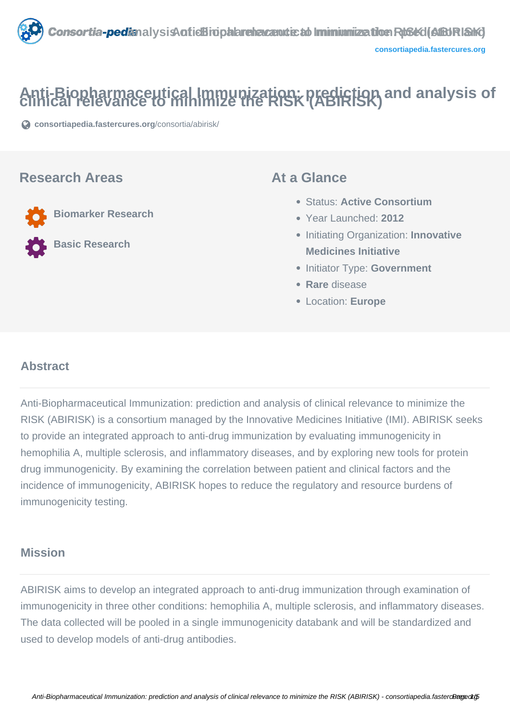

# **Anti-Biopharmaceutical Immunization: prediction and analysis of clinical relevance to minimize the RISK (ABIRISK)**

**[consortiapedia.fastercures.org](https://consortiapedia.fastercures.org/consortia/abirisk/)**[/consortia/abirisk/](https://consortiapedia.fastercures.org/consortia/abirisk/)

#### **Research Areas**

**Biomarker Research**

**Basic Research**

#### **At a Glance**

- Status: **Active Consortium**
- Year Launched: **2012**
- **Initiating Organization: Innovative Medicines Initiative**
- **Initiator Type: Government**
- **Rare** disease
- Location: **Europe**

# **Abstract**

Anti-Biopharmaceutical Immunization: prediction and analysis of clinical relevance to minimize the RISK (ABIRISK) is a consortium managed by the Innovative Medicines Initiative (IMI). ABIRISK seeks to provide an integrated approach to anti-drug immunization by evaluating immunogenicity in hemophilia A, multiple sclerosis, and inflammatory diseases, and by exploring new tools for protein drug immunogenicity. By examining the correlation between patient and clinical factors and the incidence of immunogenicity, ABIRISK hopes to reduce the regulatory and resource burdens of immunogenicity testing.

# **Mission**

ABIRISK aims to develop an integrated approach to anti-drug immunization through examination of immunogenicity in three other conditions: hemophilia A, multiple sclerosis, and inflammatory diseases. The data collected will be pooled in a single immunogenicity databank and will be standardized and used to develop models of anti-drug antibodies.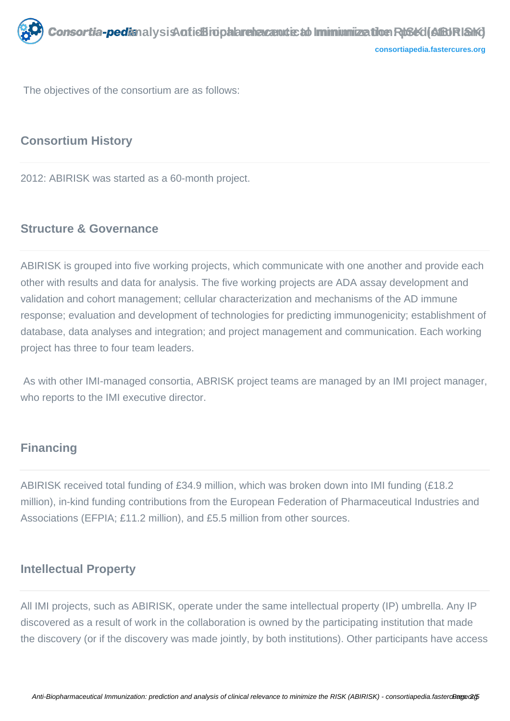

The objectives of the consortium are as follows:

### **Consortium History**

2012: ABIRISK was started as a 60-month project.

### **Structure & Governance**

ABIRISK is grouped into five working projects, which communicate with one another and provide each other with results and data for analysis. The five working projects are ADA assay development and validation and cohort management; cellular characterization and mechanisms of the AD immune response; evaluation and development of technologies for predicting immunogenicity; establishment of database, data analyses and integration; and project management and communication. Each working project has three to four team leaders.

 As with other IMI-managed consortia, ABRISK project teams are managed by an IMI project manager, who reports to the IMI executive director.

### **Financing**

ABIRISK received total funding of £34.9 million, which was broken down into IMI funding (£18.2 million), in-kind funding contributions from the European Federation of Pharmaceutical Industries and Associations (EFPIA; £11.2 million), and £5.5 million from other sources.

### **Intellectual Property**

All IMI projects, such as ABIRISK, operate under the same intellectual property (IP) umbrella. Any IP discovered as a result of work in the collaboration is owned by the participating institution that made the discovery (or if the discovery was made jointly, by both institutions). Other participants have access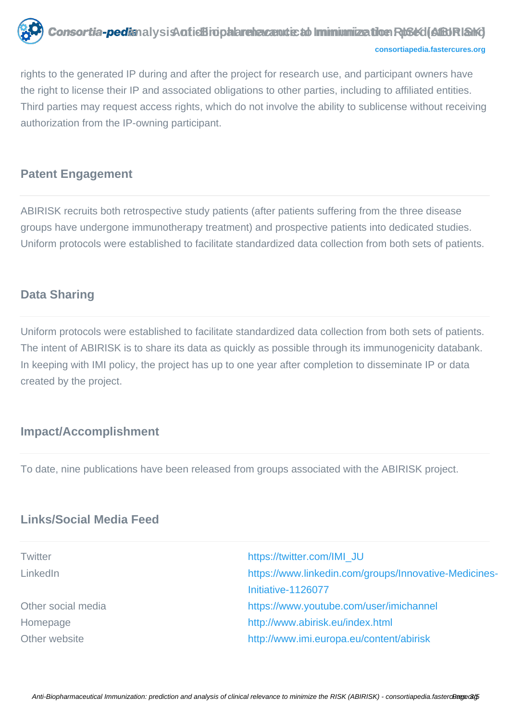

rights to the generated IP during and after the project for research use, and participant owners have the right to license their IP and associated obligations to other parties, including to affiliated entities. Third parties may request access rights, which do not involve the ability to sublicense without receiving authorization from the IP-owning participant.

# **Patent Engagement**

ABIRISK recruits both retrospective study patients (after patients suffering from the three disease groups have undergone immunotherapy treatment) and prospective patients into dedicated studies. Uniform protocols were established to facilitate standardized data collection from both sets of patients.

# **Data Sharing**

Uniform protocols were established to facilitate standardized data collection from both sets of patients. The intent of ABIRISK is to share its data as quickly as possible through its immunogenicity databank. In keeping with IMI policy, the project has up to one year after completion to disseminate IP or data created by the project.

# **Impact/Accomplishment**

To date, nine publications have been released from groups associated with the ABIRISK project.

# **Links/Social Media Feed**

| <b>Twitter</b>     | https://twitter.com/IMI_JU                            |
|--------------------|-------------------------------------------------------|
| LinkedIn           | https://www.linkedin.com/groups/Innovative-Medicines- |
|                    | Initiative-1126077                                    |
| Other social media | https://www.youtube.com/user/imichannel               |
| Homepage           | http://www.abirisk.eu/index.html                      |
| Other website      | http://www.imi.europa.eu/content/abirisk              |
|                    |                                                       |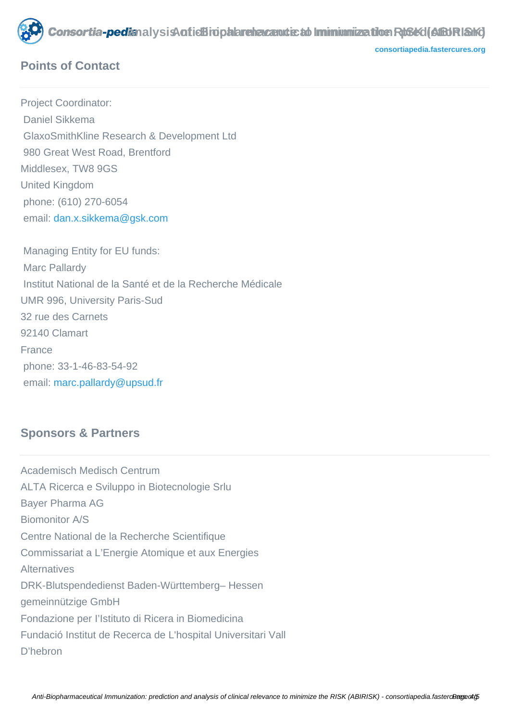

# **Points of Contact**

**[consortiapedia.fastercures.org](http://consortiapedia.fastercures.org/)**

Project Coordinator: Daniel Sikkema GlaxoSmithKline Research & Development Ltd 980 Great West Road, Brentford Middlesex, TW8 9GS United Kingdom phone: (610) 270-6054 email: [dan.x.sikkema@gsk.com](mailto:dan.x.sikkema@gsk.com)

 Managing Entity for EU funds: Marc Pallardy Institut National de la Santé et de la Recherche Médicale UMR 996, University Paris-Sud 32 rue des Carnets 92140 Clamart France phone: 33-1-46-83-54-92 email: [marc.pallardy@upsud.fr](mailto:marc.pallardy@upsud.fr)

### **Sponsors & Partners**

Academisch Medisch Centrum ALTA Ricerca e Sviluppo in Biotecnologie Srlu Bayer Pharma AG Biomonitor A/S Centre National de la Recherche Scientifique Commissariat a L'Energie Atomique et aux Energies **Alternatives** DRK-Blutspendedienst Baden-Württemberg– Hessen gemeinnützige GmbH Fondazione per I'Istituto di Ricera in Biomedicina Fundació Institut de Recerca de L'hospital Universitari Vall D'hebron